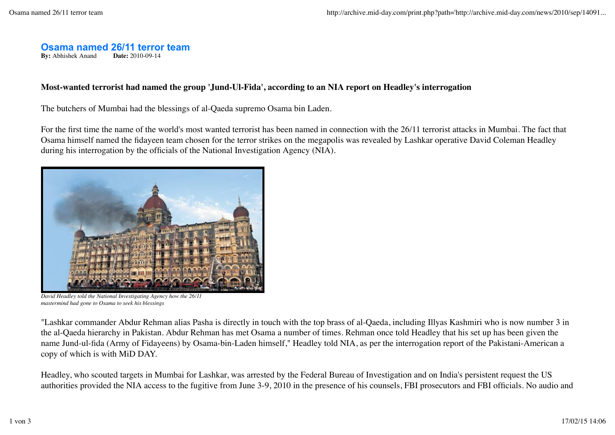### **Osama named 26/11 terror team**

**By:** Abhishek Anand **Date:** 2010-09-14

### **Most-wanted terrorist had named the group 'Jund-Ul-Fida', according to an NIA report on Headley's interrogation**

The butchers of Mumbai had the blessings of al-Qaeda supremo Osama bin Laden.

For the first time the name of the world's most wanted terrorist has been named in connection with the 26/11 terrorist attacks in Mumbai. The fact that Osama himself named the fidayeen team chosen for the terror strikes on the megapolis was revealed by Lashkar operative David Coleman Headley during his interrogation by the officials of the National Investigation Agency (NIA).



*David Headley told the National Investigating Agency how the 26/11 mastermind had gone to Osama to seek his blessings*

"Lashkar commander Abdur Rehman alias Pasha is directly in touch with the top brass of al-Qaeda, including Illyas Kashmiri who is now number 3 in the al-Qaeda hierarchy in Pakistan. Abdur Rehman has met Osama a number of times. Rehman once told Headley that his set up has been given the name Jund-ul-fida (Army of Fidayeens) by Osama-bin-Laden himself," Headley told NIA, as per the interrogation report of the Pakistani-American a copy of which is with MiD DAY.

Headley, who scouted targets in Mumbai for Lashkar, was arrested by the Federal Bureau of Investigation and on India's persistent request the US authorities provided the NIA access to the fugitive from June 3-9, 2010 in the presence of his counsels, FBI prosecutors and FBI officials. No audio and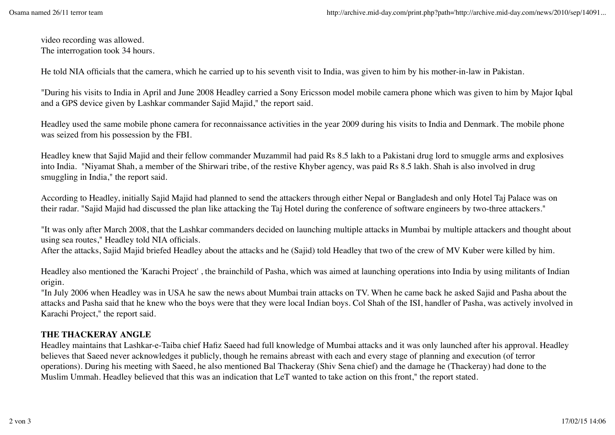video recording was allowed. The interrogation took 34 hours.

He told NIA officials that the camera, which he carried up to his seventh visit to India, was given to him by his mother-in-law in Pakistan.

"During his visits to India in April and June 2008 Headley carried a Sony Ericsson model mobile camera phone which was given to him by Major Iqbal and a GPS device given by Lashkar commander Sajid Majid," the report said.

Headley used the same mobile phone camera for reconnaissance activities in the year 2009 during his visits to India and Denmark. The mobile phone was seized from his possession by the FBI.

Headley knew that Sajid Majid and their fellow commander Muzammil had paid Rs 8.5 lakh to a Pakistani drug lord to smuggle arms and explosives into India. "Niyamat Shah, a member of the Shirwari tribe, of the restive Khyber agency, was paid Rs 8.5 lakh. Shah is also involved in drug smuggling in India," the report said.

According to Headley, initially Sajid Majid had planned to send the attackers through either Nepal or Bangladesh and only Hotel Taj Palace was on their radar. "Sajid Majid had discussed the plan like attacking the Taj Hotel during the conference of software engineers by two-three attackers."

"It was only after March 2008, that the Lashkar commanders decided on launching multiple attacks in Mumbai by multiple attackers and thought about using sea routes," Headley told NIA officials.

After the attacks, Sajid Majid briefed Headley about the attacks and he (Sajid) told Headley that two of the crew of MV Kuber were killed by him.

Headley also mentioned the 'Karachi Project' , the brainchild of Pasha, which was aimed at launching operations into India by using militants of Indian origin.

"In July 2006 when Headley was in USA he saw the news about Mumbai train attacks on TV. When he came back he asked Sajid and Pasha about the attacks and Pasha said that he knew who the boys were that they were local Indian boys. Col Shah of the ISI, handler of Pasha, was actively involved in Karachi Project," the report said.

# **THE THACKERAY ANGLE**

Headley maintains that Lashkar-e-Taiba chief Hafiz Saeed had full knowledge of Mumbai attacks and it was only launched after his approval. Headley believes that Saeed never acknowledges it publicly, though he remains abreast with each and every stage of planning and execution (of terror operations). During his meeting with Saeed, he also mentioned Bal Thackeray (Shiv Sena chief) and the damage he (Thackeray) had done to the Muslim Ummah. Headley believed that this was an indication that LeT wanted to take action on this front," the report stated.